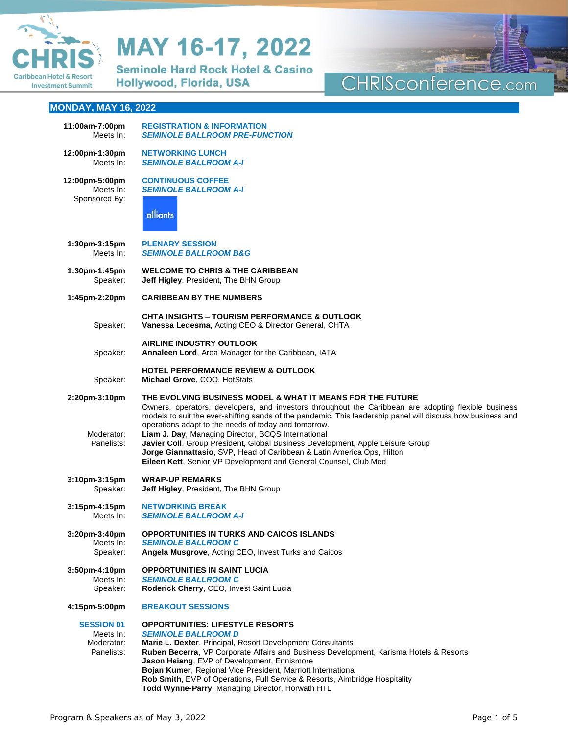

**Seminole Hard Rock Hotel & Casino** Hollywood, Florida, USA

## CHRISconference.com 四重

## **MONDAY, MAY 16, 2022**

| 11:00am-7:00pm                                             | <b>REGISTRATION &amp; INFORMATION</b>                                                                                                                                                                                                                                                                                                                                                                                                                                                                                                                                                                                           |
|------------------------------------------------------------|---------------------------------------------------------------------------------------------------------------------------------------------------------------------------------------------------------------------------------------------------------------------------------------------------------------------------------------------------------------------------------------------------------------------------------------------------------------------------------------------------------------------------------------------------------------------------------------------------------------------------------|
| Meets In:                                                  | <b>SEMINOLE BALLROOM PRE-FUNCTION</b>                                                                                                                                                                                                                                                                                                                                                                                                                                                                                                                                                                                           |
| 12:00pm-1:30pm                                             | <b>NETWORKING LUNCH</b>                                                                                                                                                                                                                                                                                                                                                                                                                                                                                                                                                                                                         |
| Meets In:                                                  | <b>SEMINOLE BALLROOM A-I</b>                                                                                                                                                                                                                                                                                                                                                                                                                                                                                                                                                                                                    |
| 12:00pm-5:00pm                                             | <b>CONTINUOUS COFFEE</b>                                                                                                                                                                                                                                                                                                                                                                                                                                                                                                                                                                                                        |
| Meets In:                                                  | <b>SEMINOLE BALLROOM A-I</b>                                                                                                                                                                                                                                                                                                                                                                                                                                                                                                                                                                                                    |
| Sponsored By:                                              | alliants                                                                                                                                                                                                                                                                                                                                                                                                                                                                                                                                                                                                                        |
| 1:30pm-3:15pm                                              | <b>PLENARY SESSION</b>                                                                                                                                                                                                                                                                                                                                                                                                                                                                                                                                                                                                          |
| Meets In:                                                  | <b>SEMINOLE BALLROOM B&amp;G</b>                                                                                                                                                                                                                                                                                                                                                                                                                                                                                                                                                                                                |
| $1:30$ pm-1:45pm                                           | <b>WELCOME TO CHRIS &amp; THE CARIBBEAN</b>                                                                                                                                                                                                                                                                                                                                                                                                                                                                                                                                                                                     |
| Speaker:                                                   | Jeff Higley, President, The BHN Group                                                                                                                                                                                                                                                                                                                                                                                                                                                                                                                                                                                           |
| 1:45pm-2:20pm                                              | <b>CARIBBEAN BY THE NUMBERS</b>                                                                                                                                                                                                                                                                                                                                                                                                                                                                                                                                                                                                 |
| Speaker:                                                   | <b>CHTA INSIGHTS - TOURISM PERFORMANCE &amp; OUTLOOK</b><br>Vanessa Ledesma, Acting CEO & Director General, CHTA                                                                                                                                                                                                                                                                                                                                                                                                                                                                                                                |
| Speaker:                                                   | <b>AIRLINE INDUSTRY OUTLOOK</b><br>Annaleen Lord, Area Manager for the Caribbean, IATA                                                                                                                                                                                                                                                                                                                                                                                                                                                                                                                                          |
| Speaker:                                                   | <b>HOTEL PERFORMANCE REVIEW &amp; OUTLOOK</b><br>Michael Grove, COO, HotStats                                                                                                                                                                                                                                                                                                                                                                                                                                                                                                                                                   |
| 2:20pm-3:10pm<br>Moderator:<br>Panelists:                  | THE EVOLVING BUSINESS MODEL & WHAT IT MEANS FOR THE FUTURE<br>Owners, operators, developers, and investors throughout the Caribbean are adopting flexible business<br>models to suit the ever-shifting sands of the pandemic. This leadership panel will discuss how business and<br>operations adapt to the needs of today and tomorrow.<br>Liam J. Day, Managing Director, BCQS International<br>Javier Coll, Group President, Global Business Development, Apple Leisure Group<br>Jorge Giannattasio, SVP, Head of Caribbean & Latin America Ops, Hilton<br>Eileen Kett, Senior VP Development and General Counsel, Club Med |
| $3:10$ pm $-3:15$ pm                                       | <b>WRAP-UP REMARKS</b>                                                                                                                                                                                                                                                                                                                                                                                                                                                                                                                                                                                                          |
| Speaker:                                                   | Jeff Higley, President, The BHN Group                                                                                                                                                                                                                                                                                                                                                                                                                                                                                                                                                                                           |
| $3:15$ pm-4:15pm                                           | <b>NETWORKING BREAK</b>                                                                                                                                                                                                                                                                                                                                                                                                                                                                                                                                                                                                         |
| Meets In:                                                  | <b>SEMINOLE BALLROOM A-I</b>                                                                                                                                                                                                                                                                                                                                                                                                                                                                                                                                                                                                    |
| 3:20pm-3:40pm                                              | <b>OPPORTUNITIES IN TURKS AND CAICOS ISLANDS</b>                                                                                                                                                                                                                                                                                                                                                                                                                                                                                                                                                                                |
| Meets In:                                                  | <b>SEMINOLE BALLROOM C</b>                                                                                                                                                                                                                                                                                                                                                                                                                                                                                                                                                                                                      |
| Speaker:                                                   | Angela Musgrove, Acting CEO, Invest Turks and Caicos                                                                                                                                                                                                                                                                                                                                                                                                                                                                                                                                                                            |
| 3:50pm-4:10pm                                              | <b>OPPORTUNITIES IN SAINT LUCIA</b>                                                                                                                                                                                                                                                                                                                                                                                                                                                                                                                                                                                             |
| Meets In:                                                  | <b>SEMINOLE BALLROOM C</b>                                                                                                                                                                                                                                                                                                                                                                                                                                                                                                                                                                                                      |
| Speaker:                                                   | Roderick Cherry, CEO, Invest Saint Lucia                                                                                                                                                                                                                                                                                                                                                                                                                                                                                                                                                                                        |
| 4:15pm-5:00pm                                              | <b>BREAKOUT SESSIONS</b>                                                                                                                                                                                                                                                                                                                                                                                                                                                                                                                                                                                                        |
| <b>SESSION 01</b><br>Meets In:<br>Moderator:<br>Panelists: | <b>OPPORTUNITIES: LIFESTYLE RESORTS</b><br><b>SEMINOLE BALLROOM D</b><br>Marie L. Dexter, Principal, Resort Development Consultants<br>Ruben Becerra, VP Corporate Affairs and Business Development, Karisma Hotels & Resorts<br>Jason Hsiang, EVP of Development, Ennismore<br>Bojan Kumer, Regional Vice President, Marriott International<br>Rob Smith, EVP of Operations, Full Service & Resorts, Aimbridge Hospitality<br>Todd Wynne-Parry, Managing Director, Horwath HTL                                                                                                                                                 |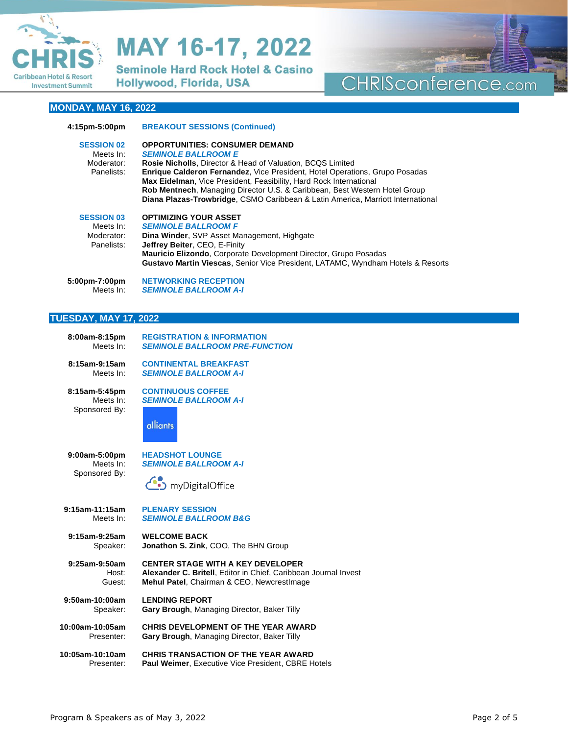

**Seminole Hard Rock Hotel & Casino** Hollywood, Florida, USA

## CHRISconference.com

## **MONDAY, MAY 16, 2022**

| 4:15pm-5:00pm                                              | <b>BREAKOUT SESSIONS (Continued)</b>                                                                                                                                                                                                                                                                                                                                                                                                                                           |
|------------------------------------------------------------|--------------------------------------------------------------------------------------------------------------------------------------------------------------------------------------------------------------------------------------------------------------------------------------------------------------------------------------------------------------------------------------------------------------------------------------------------------------------------------|
| <b>SESSION 02</b><br>Meets In:<br>Moderator:<br>Panelists: | <b>OPPORTUNITIES: CONSUMER DEMAND</b><br><b>SEMINOLE BALLROOM E</b><br><b>Rosie Nicholls.</b> Director & Head of Valuation, BCQS Limited<br><b>Enrique Calderon Fernandez</b> , Vice President, Hotel Operations, Grupo Posadas<br><b>Max Eidelman</b> , Vice President, Feasibility, Hard Rock International<br>Rob Mentnech, Managing Director U.S. & Caribbean, Best Western Hotel Group<br>Diana Plazas-Trowbridge, CSMO Caribbean & Latin America, Marriott International |
| <b>SESSION 03</b><br>Meets In:<br>Moderator:<br>Panelists: | <b>OPTIMIZING YOUR ASSET</b><br><b>SEMINOLE BALLROOM F</b><br>Dina Winder, SVP Asset Management, Highgate<br>Jeffrey Beiter, CEO, E-Finity<br>Mauricio Elizondo, Corporate Development Director, Grupo Posadas<br><b>Gustavo Martin Viescas, Senior Vice President, LATAMC, Wyndham Hotels &amp; Resorts</b>                                                                                                                                                                   |
| 5:00pm-7:00pm<br>Meets In:                                 | <b>NETWORKING RECEPTION</b><br><b>SEMINOLE BALLROOM A-I</b>                                                                                                                                                                                                                                                                                                                                                                                                                    |

### **TUESDAY, MAY 17, 2022**

| 8:00am-8:15pm   | <b>REGISTRATION &amp; INFORMATION</b>                           |
|-----------------|-----------------------------------------------------------------|
| Meets In:       | <b>SEMINOLE BALLROOM PRE-FUNCTION</b>                           |
| 8:15am-9:15am   | <b>CONTINENTAL BREAKFAST</b>                                    |
| Meets In:       | <b>SEMINOLE BALLROOM A-I</b>                                    |
| 8:15am-5:45pm   | <b>CONTINUOUS COFFEE</b>                                        |
| Meets In:       | <b>SEMINOLE BALLROOM A-I</b>                                    |
| Sponsored By:   | alliants                                                        |
| 9:00am-5:00pm   | <b>HEADSHOT LOUNGE</b>                                          |
| Meets In:       | <b>SEMINOLE BALLROOM A-I</b>                                    |
| Sponsored By:   | myDigitalOffice                                                 |
| 9:15am-11:15am  | <b>PLENARY SESSION</b>                                          |
| Meets In:       | <b>SEMINOLE BALLROOM B&amp;G</b>                                |
| 9:15am-9:25am   | <b>WELCOME BACK</b>                                             |
| Speaker:        | Jonathon S. Zink, COO, The BHN Group                            |
| 9:25am-9:50am   | <b>CENTER STAGE WITH A KEY DEVELOPER</b>                        |
| Host:           | Alexander C. Britell, Editor in Chief, Caribbean Journal Invest |
| Guest:          | Mehul Patel, Chairman & CEO, NewcrestImage                      |
| 9:50am-10:00am  | <b>LENDING REPORT</b>                                           |
| Speaker:        | Gary Brough, Managing Director, Baker Tilly                     |
| 10:00am-10:05am | CHRIS DEVELOPMENT OF THE YEAR AWARD                             |
| Presenter:      | Gary Brough, Managing Director, Baker Tilly                     |
| 10:05am-10:10am | <b>CHRIS TRANSACTION OF THE YEAR AWARD</b>                      |
| Presenter:      | Paul Weimer, Executive Vice President, CBRE Hotels              |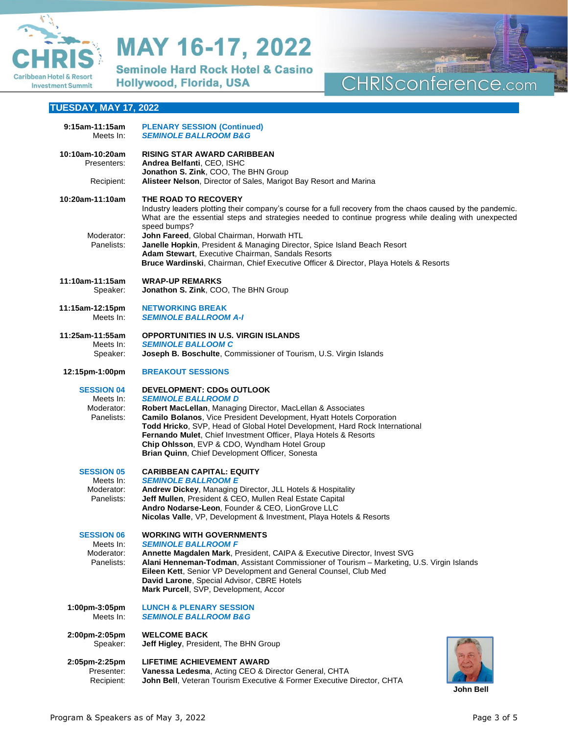

**Seminole Hard Rock Hotel & Casino** Hollywood, Florida, USA

## CHRISconference.com 四曲

## **TUESDAY, MAY 17, 2022**

| 9:15am-11:15am<br>Meets In:                                | <b>PLENARY SESSION (Continued)</b><br><b>SEMINOLE BALLROOM B&amp;G</b>                                                                                                                                                                                                                                                                                                                                                                               |
|------------------------------------------------------------|------------------------------------------------------------------------------------------------------------------------------------------------------------------------------------------------------------------------------------------------------------------------------------------------------------------------------------------------------------------------------------------------------------------------------------------------------|
| 10:10am-10:20am<br>Presenters:                             | <b>RISING STAR AWARD CARIBBEAN</b><br>Andrea Belfanti, CEO, ISHC<br>Jonathon S. Zink, COO, The BHN Group                                                                                                                                                                                                                                                                                                                                             |
| Recipient:                                                 | Alisteer Nelson, Director of Sales, Marigot Bay Resort and Marina                                                                                                                                                                                                                                                                                                                                                                                    |
| 10:20am-11:10am                                            | THE ROAD TO RECOVERY<br>Industry leaders plotting their company's course for a full recovery from the chaos caused by the pandemic.<br>What are the essential steps and strategies needed to continue progress while dealing with unexpected<br>speed bumps?                                                                                                                                                                                         |
| Moderator:<br>Panelists:                                   | John Fareed, Global Chairman, Horwath HTL<br>Janelle Hopkin, President & Managing Director, Spice Island Beach Resort<br>Adam Stewart, Executive Chairman, Sandals Resorts<br>Bruce Wardinski, Chairman, Chief Executive Officer & Director, Playa Hotels & Resorts                                                                                                                                                                                  |
| 11:10am-11:15am<br>Speaker:                                | <b>WRAP-UP REMARKS</b><br>Jonathon S. Zink, COO, The BHN Group                                                                                                                                                                                                                                                                                                                                                                                       |
| 11:15am-12:15pm<br>Meets In:                               | <b>NETWORKING BREAK</b><br><b>SEMINOLE BALLROOM A-I</b>                                                                                                                                                                                                                                                                                                                                                                                              |
| 11:25am-11:55am<br>Meets In:<br>Speaker:                   | <b>OPPORTUNITIES IN U.S. VIRGIN ISLANDS</b><br><b>SEMINOLE BALLOOM C</b><br>Joseph B. Boschulte, Commissioner of Tourism, U.S. Virgin Islands                                                                                                                                                                                                                                                                                                        |
| 12:15pm-1:00pm                                             | <b>BREAKOUT SESSIONS</b>                                                                                                                                                                                                                                                                                                                                                                                                                             |
| <b>SESSION 04</b><br>Meets In:<br>Moderator:<br>Panelists: | DEVELOPMENT: CDOs OUTLOOK<br><b>SEMINOLE BALLROOM D</b><br>Robert MacLellan, Managing Director, MacLellan & Associates<br>Camilo Bolanos, Vice President Development, Hyatt Hotels Corporation<br>Todd Hricko, SVP, Head of Global Hotel Development, Hard Rock International<br>Fernando Mulet, Chief Investment Officer, Playa Hotels & Resorts<br>Chip Ohlsson, EVP & CDO, Wyndham Hotel Group<br>Brian Quinn, Chief Development Officer, Sonesta |
| <b>SESSION 05</b><br>Meets In:<br>Moderator:<br>Panelists: | <b>CARIBBEAN CAPITAL: EQUITY</b><br><b>SEMINOLE BALLROOM E</b><br>Andrew Dickey, Managing Director, JLL Hotels & Hospitality<br>Jeff Mullen, President & CEO, Mullen Real Estate Capital<br>Andro Nodarse-Leon, Founder & CEO, LionGrove LLC<br>Nicolas Valle, VP, Development & Investment, Playa Hotels & Resorts                                                                                                                                  |
| <b>SESSION 06</b><br>Meets In:<br>Moderator:<br>Panelists: | <b>WORKING WITH GOVERNMENTS</b><br><b>SEMINOLE BALLROOM F</b><br>Annette Magdalen Mark, President, CAIPA & Executive Director, Invest SVG<br>Alani Henneman-Todman, Assistant Commissioner of Tourism - Marketing, U.S. Virgin Islands<br>Eileen Kett, Senior VP Development and General Counsel, Club Med<br>David Larone, Special Advisor, CBRE Hotels<br>Mark Purcell, SVP, Development, Accor                                                    |
| 1:00pm-3:05pm<br>Meets In:                                 | <b>LUNCH &amp; PLENARY SESSION</b><br><b>SEMINOLE BALLROOM B&amp;G</b>                                                                                                                                                                                                                                                                                                                                                                               |
| 2:00pm-2:05pm<br>Speaker:                                  | <b>WELCOME BACK</b><br>Jeff Higley, President, The BHN Group                                                                                                                                                                                                                                                                                                                                                                                         |
| 2:05pm-2:25pm<br>Presenter:<br>Recipient:                  | LIFETIME ACHIEVEMENT AWARD<br>Vanessa Ledesma, Acting CEO & Director General, CHTA<br>John Bell, Veteran Tourism Executive & Former Executive Director, CHTA<br>John Bell                                                                                                                                                                                                                                                                            |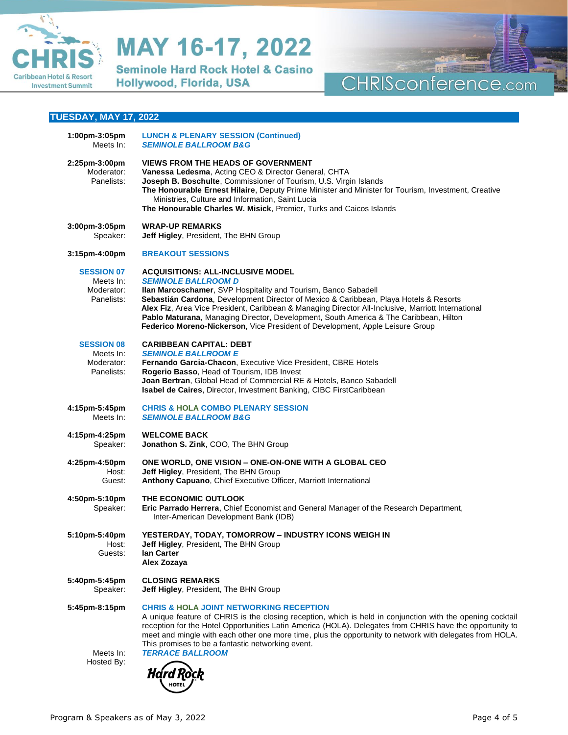

**Seminole Hard Rock Hotel & Casino** Hollywood, Florida, USA

## 出事 CHRISconference.com

### **TUESDAY, MAY 17, 2022**

| $1:00$ pm-3:05pm<br>Meets In:                              | <b>LUNCH &amp; PLENARY SESSION (Continued)</b><br><b>SEMINOLE BALLROOM B&amp;G</b>                                                                                                                                                                                                                                                                                                                                                                                                                                |
|------------------------------------------------------------|-------------------------------------------------------------------------------------------------------------------------------------------------------------------------------------------------------------------------------------------------------------------------------------------------------------------------------------------------------------------------------------------------------------------------------------------------------------------------------------------------------------------|
| 2:25pm-3:00pm<br>Moderator:<br>Panelists:                  | <b>VIEWS FROM THE HEADS OF GOVERNMENT</b><br>Vanessa Ledesma, Acting CEO & Director General, CHTA<br>Joseph B. Boschulte, Commissioner of Tourism, U.S. Virgin Islands<br>The Honourable Ernest Hilaire, Deputy Prime Minister and Minister for Tourism, Investment, Creative<br>Ministries, Culture and Information, Saint Lucia<br>The Honourable Charles W. Misick, Premier, Turks and Caicos Islands                                                                                                          |
| 3:00pm-3:05pm<br>Speaker:                                  | <b>WRAP-UP REMARKS</b><br>Jeff Higley, President, The BHN Group                                                                                                                                                                                                                                                                                                                                                                                                                                                   |
| 3:15pm-4:00pm                                              | <b>BREAKOUT SESSIONS</b>                                                                                                                                                                                                                                                                                                                                                                                                                                                                                          |
| <b>SESSION 07</b><br>Meets In:<br>Moderator:<br>Panelists: | <b>ACQUISITIONS: ALL-INCLUSIVE MODEL</b><br><b>SEMINOLE BALLROOM D</b><br>Ilan Marcoschamer, SVP Hospitality and Tourism, Banco Sabadell<br>Sebastián Cardona, Development Director of Mexico & Caribbean, Playa Hotels & Resorts<br>Alex Fiz, Area Vice President, Caribbean & Managing Director All-Inclusive, Marriott International<br>Pablo Maturana, Managing Director, Development, South America & The Caribbean, Hilton<br>Federico Moreno-Nickerson, Vice President of Development, Apple Leisure Group |
| <b>SESSION 08</b><br>Meets In:<br>Moderator:<br>Panelists: | <b>CARIBBEAN CAPITAL: DEBT</b><br><b>SEMINOLE BALLROOM E</b><br>Fernando Garcia-Chacon, Executive Vice President, CBRE Hotels<br>Rogerio Basso, Head of Tourism, IDB Invest<br>Joan Bertran, Global Head of Commercial RE & Hotels, Banco Sabadell<br>Isabel de Caires, Director, Investment Banking, CIBC FirstCaribbean                                                                                                                                                                                         |
| 4:15pm-5:45pm<br>Meets In:                                 | <b>CHRIS &amp; HOLA COMBO PLENARY SESSION</b><br><b>SEMINOLE BALLROOM B&amp;G</b>                                                                                                                                                                                                                                                                                                                                                                                                                                 |
| 4:15pm-4:25pm<br>Speaker:                                  | <b>WELCOME BACK</b><br>Jonathon S. Zink, COO, The BHN Group                                                                                                                                                                                                                                                                                                                                                                                                                                                       |
| 4:25pm-4:50pm<br>Host:<br>Guest:                           | ONE WORLD, ONE VISION - ONE-ON-ONE WITH A GLOBAL CEO<br>Jeff Higley, President, The BHN Group<br>Anthony Capuano, Chief Executive Officer, Marriott International                                                                                                                                                                                                                                                                                                                                                 |
| 4:50pm-5:10pm<br>Speaker:                                  | THE ECONOMIC OUTLOOK<br>Eric Parrado Herrera, Chief Economist and General Manager of the Research Department,<br>Inter-American Development Bank (IDB)                                                                                                                                                                                                                                                                                                                                                            |
| 5:10pm-5:40pm<br>Host:<br>Guests:                          | YESTERDAY, TODAY, TOMORROW - INDUSTRY ICONS WEIGH IN<br>Jeff Higley, President, The BHN Group<br>lan Carter<br>Alex Zozaya                                                                                                                                                                                                                                                                                                                                                                                        |
| 5:40pm-5:45pm<br>Speaker:                                  | <b>CLOSING REMARKS</b><br>Jeff Higley, President, The BHN Group                                                                                                                                                                                                                                                                                                                                                                                                                                                   |
| 5:45pm-8:15pm<br>Meets In:<br>Hosted By:                   | <b>CHRIS &amp; HOLA JOINT NETWORKING RECEPTION</b><br>A unique feature of CHRIS is the closing reception, which is held in conjunction with the opening cocktail<br>reception for the Hotel Opportunities Latin America (HOLA). Delegates from CHRIS have the opportunity to<br>meet and mingle with each other one more time, plus the opportunity to network with delegates from HOLA.<br>This promises to be a fantastic networking event.<br><b>TERRACE BALLROOM</b><br><i>Hard Rock</i>                      |